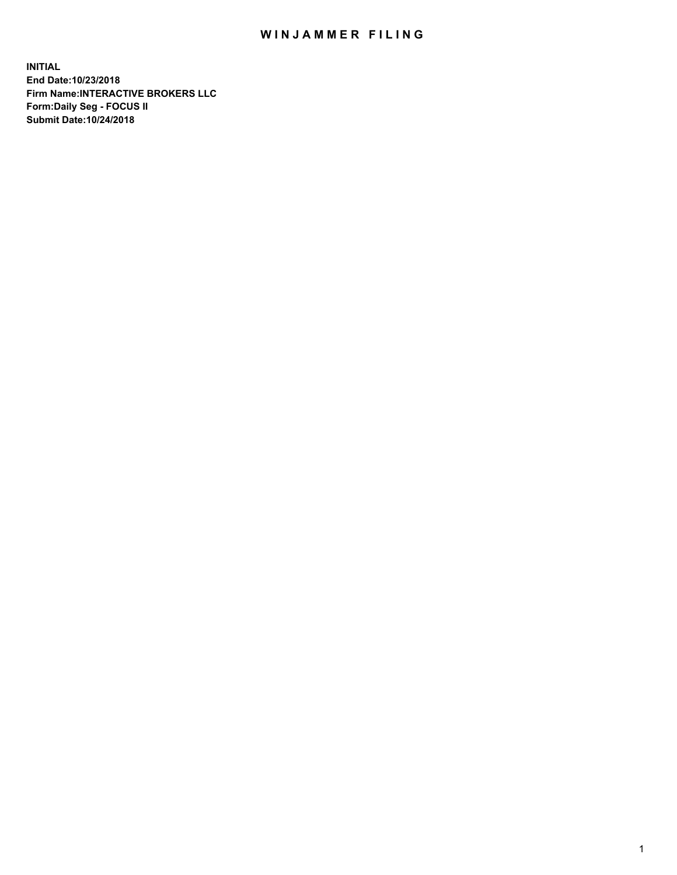## WIN JAMMER FILING

**INITIAL End Date:10/23/2018 Firm Name:INTERACTIVE BROKERS LLC Form:Daily Seg - FOCUS II Submit Date:10/24/2018**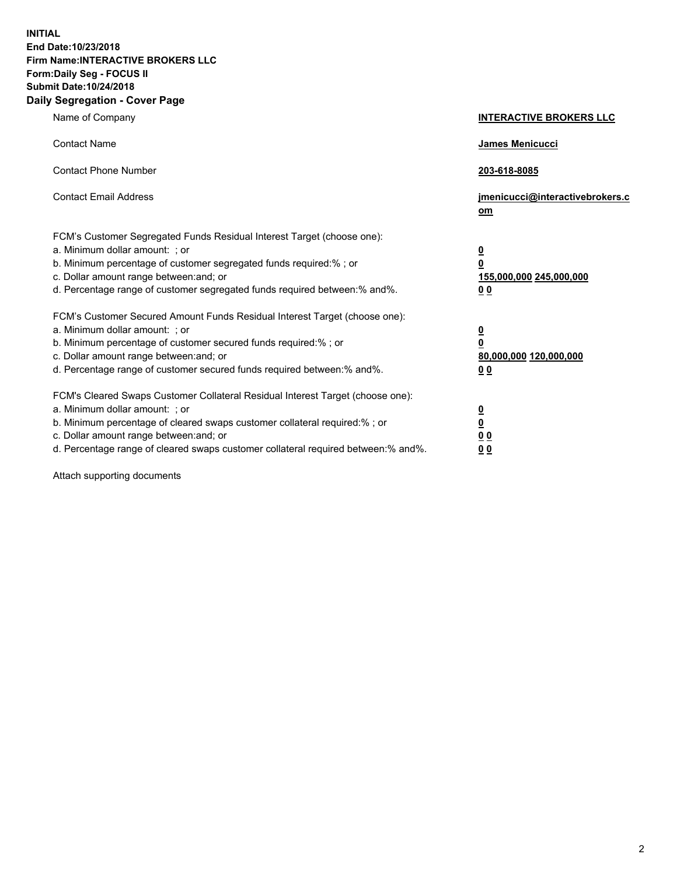**INITIAL End Date:10/23/2018 Firm Name:INTERACTIVE BROKERS LLC Form:Daily Seg - FOCUS II Submit Date:10/24/2018 Daily Segregation - Cover Page**

| Name of Company                                                                                                                                                                                                                                                                                                                | <b>INTERACTIVE BROKERS LLC</b>                                                                  |
|--------------------------------------------------------------------------------------------------------------------------------------------------------------------------------------------------------------------------------------------------------------------------------------------------------------------------------|-------------------------------------------------------------------------------------------------|
| <b>Contact Name</b>                                                                                                                                                                                                                                                                                                            | James Menicucci                                                                                 |
| <b>Contact Phone Number</b>                                                                                                                                                                                                                                                                                                    | 203-618-8085                                                                                    |
| <b>Contact Email Address</b>                                                                                                                                                                                                                                                                                                   | jmenicucci@interactivebrokers.c<br>om                                                           |
| FCM's Customer Segregated Funds Residual Interest Target (choose one):<br>a. Minimum dollar amount: ; or<br>b. Minimum percentage of customer segregated funds required:% ; or<br>c. Dollar amount range between: and; or<br>d. Percentage range of customer segregated funds required between:% and%.                         | $\overline{\mathbf{0}}$<br>$\overline{\mathbf{0}}$<br>155,000,000 245,000,000<br>0 <sub>0</sub> |
| FCM's Customer Secured Amount Funds Residual Interest Target (choose one):<br>a. Minimum dollar amount: ; or<br>b. Minimum percentage of customer secured funds required:%; or<br>c. Dollar amount range between: and; or<br>d. Percentage range of customer secured funds required between:% and%.                            | $\overline{\mathbf{0}}$<br>$\overline{\mathbf{0}}$<br>80,000,000 120,000,000<br>0 <sub>0</sub>  |
| FCM's Cleared Swaps Customer Collateral Residual Interest Target (choose one):<br>a. Minimum dollar amount: ; or<br>b. Minimum percentage of cleared swaps customer collateral required:% ; or<br>c. Dollar amount range between: and; or<br>d. Percentage range of cleared swaps customer collateral required between:% and%. | $\overline{\mathbf{0}}$<br>$\underline{\mathbf{0}}$<br>0 <sub>0</sub><br>0 <sub>0</sub>         |

Attach supporting documents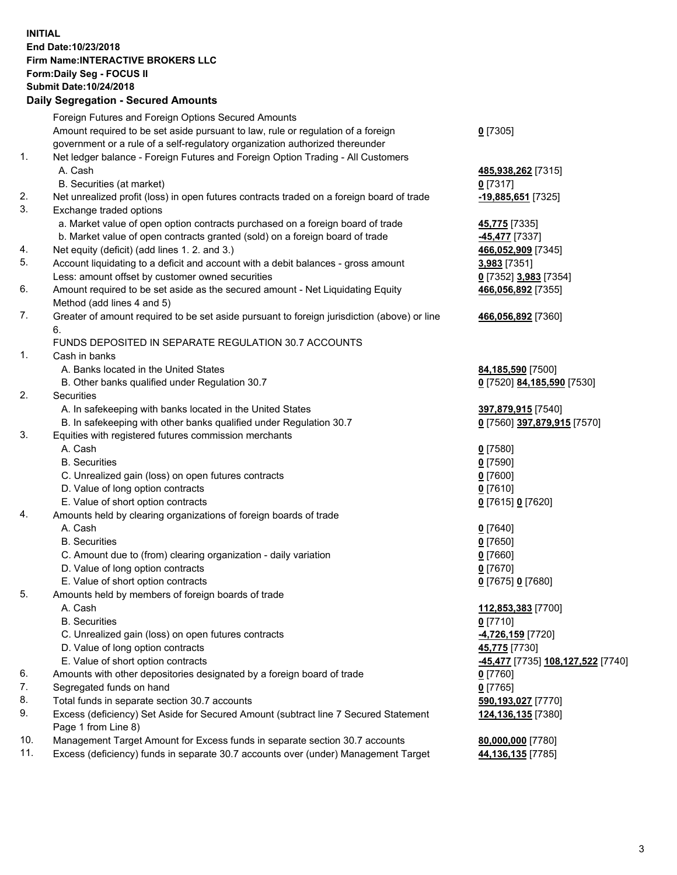## **INITIAL End Date:10/23/2018 Firm Name:INTERACTIVE BROKERS LLC Form:Daily Seg - FOCUS II Submit Date:10/24/2018 Daily Segregation - Secured Amounts**

|     | Daily Segregation - Secured Amounts                                                         |                                                 |
|-----|---------------------------------------------------------------------------------------------|-------------------------------------------------|
|     | Foreign Futures and Foreign Options Secured Amounts                                         |                                                 |
|     | Amount required to be set aside pursuant to law, rule or regulation of a foreign            | $0$ [7305]                                      |
|     | government or a rule of a self-regulatory organization authorized thereunder                |                                                 |
| 1.  | Net ledger balance - Foreign Futures and Foreign Option Trading - All Customers             |                                                 |
|     | A. Cash                                                                                     | 485,938,262 [7315]                              |
|     | B. Securities (at market)                                                                   | $0$ [7317]                                      |
| 2.  | Net unrealized profit (loss) in open futures contracts traded on a foreign board of trade   | -19,885,651 [7325]                              |
| 3.  | Exchange traded options                                                                     |                                                 |
|     | a. Market value of open option contracts purchased on a foreign board of trade              | 45,775 [7335]                                   |
|     | b. Market value of open contracts granted (sold) on a foreign board of trade                | 45,477 [7337]                                   |
| 4.  | Net equity (deficit) (add lines 1. 2. and 3.)                                               | 466,052,909 [7345]                              |
| 5.  | Account liquidating to a deficit and account with a debit balances - gross amount           | 3,983 [7351]                                    |
|     | Less: amount offset by customer owned securities                                            | 0 [7352] 3,983 [7354]                           |
| 6.  | Amount required to be set aside as the secured amount - Net Liquidating Equity              | 466,056,892 [7355]                              |
|     | Method (add lines 4 and 5)                                                                  |                                                 |
| 7.  | Greater of amount required to be set aside pursuant to foreign jurisdiction (above) or line | 466,056,892 [7360]                              |
|     | 6.                                                                                          |                                                 |
|     | FUNDS DEPOSITED IN SEPARATE REGULATION 30.7 ACCOUNTS                                        |                                                 |
| 1.  | Cash in banks                                                                               |                                                 |
|     | A. Banks located in the United States                                                       | 84,185,590 [7500]                               |
|     | B. Other banks qualified under Regulation 30.7                                              | 0 [7520] 84,185,590 [7530]                      |
| 2.  | Securities                                                                                  |                                                 |
|     | A. In safekeeping with banks located in the United States                                   | 397,879,915 [7540]                              |
|     | B. In safekeeping with other banks qualified under Regulation 30.7                          | 0 [7560] 397,879,915 [7570]                     |
| 3.  | Equities with registered futures commission merchants                                       |                                                 |
|     | A. Cash                                                                                     | $0$ [7580]                                      |
|     | <b>B.</b> Securities                                                                        | $0$ [7590]                                      |
|     | C. Unrealized gain (loss) on open futures contracts                                         | $0$ [7600]                                      |
|     | D. Value of long option contracts                                                           | $0$ [7610]                                      |
|     | E. Value of short option contracts                                                          | 0 [7615] 0 [7620]                               |
| 4.  | Amounts held by clearing organizations of foreign boards of trade                           |                                                 |
|     | A. Cash                                                                                     | $0$ [7640]                                      |
|     | <b>B.</b> Securities                                                                        | $0$ [7650]                                      |
|     | C. Amount due to (from) clearing organization - daily variation                             | $0$ [7660]                                      |
|     | D. Value of long option contracts                                                           | $0$ [7670]                                      |
|     | E. Value of short option contracts                                                          | 0 [7675] 0 [7680]                               |
| 5.  | Amounts held by members of foreign boards of trade                                          |                                                 |
|     | A. Cash                                                                                     | 112,853,383 [7700]                              |
|     | <b>B.</b> Securities                                                                        | $0$ [7710]                                      |
|     | C. Unrealized gain (loss) on open futures contracts                                         | <mark>-4,726,159</mark> [7720]                  |
|     | D. Value of long option contracts                                                           | 45,775 [7730]                                   |
|     | E. Value of short option contracts                                                          | <u>-45,477</u> [7735] <u>108,127,522</u> [7740] |
| 6.  | Amounts with other depositories designated by a foreign board of trade                      | 0 [7760]                                        |
| 7.  | Segregated funds on hand                                                                    | $0$ [7765]                                      |
| 8.  | Total funds in separate section 30.7 accounts                                               | 590,193,027 [7770]                              |
| 9.  | Excess (deficiency) Set Aside for Secured Amount (subtract line 7 Secured Statement         | 124,136,135 [7380]                              |
|     | Page 1 from Line 8)                                                                         |                                                 |
| 10. | Management Target Amount for Excess funds in separate section 30.7 accounts                 | 80,000,000 [7780]                               |
| 11. | Excess (deficiency) funds in separate 30.7 accounts over (under) Management Target          | 44,136,135 [7785]                               |
|     |                                                                                             |                                                 |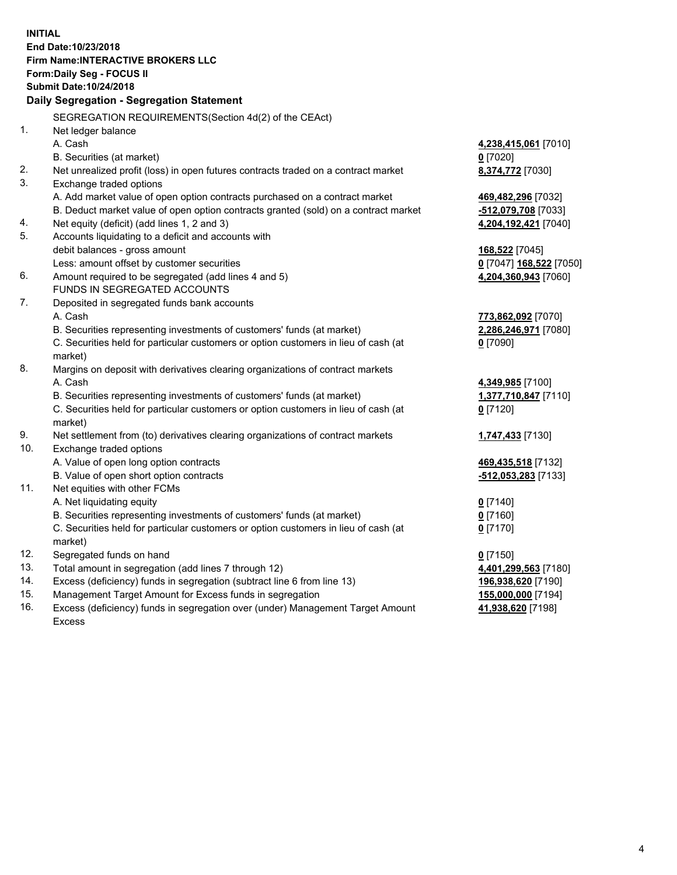**INITIAL End Date:10/23/2018 Firm Name:INTERACTIVE BROKERS LLC Form:Daily Seg - FOCUS II Submit Date:10/24/2018 Daily Segregation - Segregation Statement** SEGREGATION REQUIREMENTS(Section 4d(2) of the CEAct) 1. Net ledger balance A. Cash **4,238,415,061** [7010] B. Securities (at market) **0** [7020] 2. Net unrealized profit (loss) in open futures contracts traded on a contract market **8,374,772** [7030] 3. Exchange traded options A. Add market value of open option contracts purchased on a contract market **469,482,296** [7032] B. Deduct market value of open option contracts granted (sold) on a contract market **-512,079,708** [7033] 4. Net equity (deficit) (add lines 1, 2 and 3) **4,204,192,421** [7040] 5. Accounts liquidating to a deficit and accounts with debit balances - gross amount **168,522** [7045] Less: amount offset by customer securities **0** [7047] **168,522** [7050] 6. Amount required to be segregated (add lines 4 and 5) **4,204,360,943** [7060] FUNDS IN SEGREGATED ACCOUNTS 7. Deposited in segregated funds bank accounts A. Cash **773,862,092** [7070] B. Securities representing investments of customers' funds (at market) **2,286,246,971** [7080] C. Securities held for particular customers or option customers in lieu of cash (at market) **0** [7090] 8. Margins on deposit with derivatives clearing organizations of contract markets A. Cash **4,349,985** [7100] B. Securities representing investments of customers' funds (at market) **1,377,710,847** [7110] C. Securities held for particular customers or option customers in lieu of cash (at market) **0** [7120] 9. Net settlement from (to) derivatives clearing organizations of contract markets **1,747,433** [7130] 10. Exchange traded options A. Value of open long option contracts **469,435,518** [7132] B. Value of open short option contracts **-512,053,283** [7133] 11. Net equities with other FCMs A. Net liquidating equity **0** [7140] B. Securities representing investments of customers' funds (at market) **0** [7160] C. Securities held for particular customers or option customers in lieu of cash (at market) **0** [7170] 12. Segregated funds on hand **0** [7150] 13. Total amount in segregation (add lines 7 through 12) **4,401,299,563** [7180] 14. Excess (deficiency) funds in segregation (subtract line 6 from line 13) **196,938,620** [7190] 15. Management Target Amount for Excess funds in segregation **155,000,000** [7194] **41,938,620** [7198]

16. Excess (deficiency) funds in segregation over (under) Management Target Amount Excess